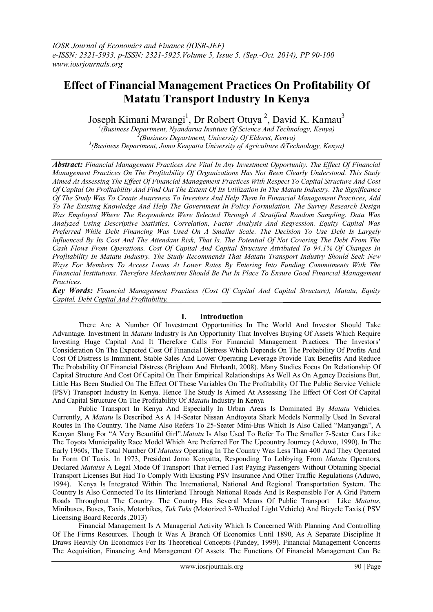# **Effect of Financial Management Practices On Profitability Of Matatu Transport Industry In Kenya**

Joseph Kimani Mwangi<sup>1</sup>, Dr Robert Otuya<sup>2</sup>, David K. Kamau<sup>3</sup>

*1 (Business Department, Nyandarua Institute Of Science And Technology, Kenya) 2 (Business Department, University Of Eldoret, Kenya) 3 (Business Department, Jomo Kenyatta University of Agriculture &Technology, Kenya)*

*Abstract: Financial Management Practices Are Vital In Any Investment Opportunity. The Effect Of Financial Management Practices On The Profitability Of Organizations Has Not Been Clearly Understood. This Study Aimed At Assessing The Effect Of Financial Management Practices With Respect To Capital Structure And Cost Of Capital On Profitability And Find Out The Extent Of Its Utilization In The Matatu Industry. The Significance Of The Study Was To Create Awareness To Investors And Help Them In Financial Management Practices, Add To The Existing Knowledge And Help The Government In Policy Formulation. The Survey Research Design Was Employed Where The Respondents Were Selected Through A Stratified Random Sampling. Data Was Analyzed Using Descriptive Statistics, Correlation, Factor Analysis And Regression. Equity Capital Was Preferred While Debt Financing Was Used On A Smaller Scale. The Decision To Use Debt Is Largely Influenced By Its Cost And The Attendant Risk, That Is, The Potential Of Not Covering The Debt From The Cash Flows From Operations. Cost Of Capital And Capital Structure Attributed To 94.1% Of Changes In Profitability In Matatu Industry. The Study Recommends That Matatu Transport Industry Should Seek New Ways For Members To Access Loans At Lower Rates By Entering Into Funding Commitments With The Financial Institutions. Therefore Mechanisms Should Be Put In Place To Ensure Good Financial Management Practices.* 

*Key Words: Financial Management Practices (Cost Of Capital And Capital Structure), Matatu, Equity Capital, Debt Capital And Profitability.*

## **I. Introduction**

There Are A Number Of Investment Opportunities In The World And Investor Should Take Advantage. Investment In *Matatu* Industry Is An Opportunity That Involves Buying Of Assets Which Require Investing Huge Capital And It Therefore Calls For Financial Management Practices. The Investors' Consideration On The Expected Cost Of Financial Distress Which Depends On The Probability Of Profits And Cost Of Distress Is Imminent. Stable Sales And Lower Operating Leverage Provide Tax Benefits And Reduce The Probability Of Financial Distress (Brigham And Ehrhardt, 2008). Many Studies Focus On Relationship Of Capital Structure And Cost Of Capital On Their Empirical Relationships As Well As On Agency Decisions But, Little Has Been Studied On The Effect Of These Variables On The Profitability Of The Public Service Vehicle (PSV) Transport Industry In Kenya. Hence The Study Is Aimed At Assessing The Effect Of Cost Of Capital And Capital Structure On The Profitability Of *Matatu* Industry In Kenya

Public Transport In Kenya And Especially In Urban Areas Is Dominated By *Matatu* Vehicles. Currently, A *Matatu* Is Described As A 14-Seater Nissan Andtoyota Shark Models Normally Used In Several Routes In The Country. The Name Also Refers To 25-Seater Mini-Bus Which Is Also Called "Manyanga", A Kenyan Slang For "A Very Beautiful Girl".*Matatu* Is Also Used To Refer To The Smaller 7-Seater Cars Like The Toyota Municipality Race Model Which Are Preferred For The Upcountry Journey (Aduwo, 1990). In The Early 1960s, The Total Number Of *Matatus* Operating In The Country Was Less Than 400 And They Operated In Form Of Taxis. In 1973, President Jomo Kenyatta, Responding To Lobbying From *Matatu* Operators, Declared *Matatus* A Legal Mode Of Transport That Ferried Fast Paying Passengers Without Obtaining Special Transport Licenses But Had To Comply With Existing PSV Insurance And Other Traffic Regulations (Aduwo, 1994). Kenya Is Integrated Within The International, National And Regional Transportation System. The Country Is Also Connected To Its Hinterland Through National Roads And Is Responsible For A Grid Pattern Roads Throughout The Country. The Country Has Several Means Of Public Transport Like *Matatus*, Minibuses, Buses, Taxis, Motorbikes, *Tuk Tuks* (Motorized 3-Wheeled Light Vehicle) And Bicycle Taxis.( PSV Licensing Board Records ,2013)

Financial Management Is A Managerial Activity Which Is Concerned With Planning And Controlling Of The Firms Resources. Though It Was A Branch Of Economics Until 1890, As A Separate Discipline It Draws Heavily On Economics For Its Theoretical Concepts (Pandey, 1999). Financial Management Concerns The Acquisition, Financing And Management Of Assets. The Functions Of Financial Management Can Be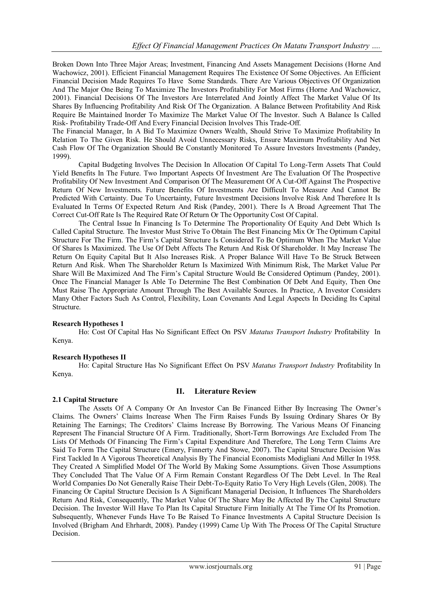Broken Down Into Three Major Areas; Investment, Financing And Assets Management Decisions (Horne And Wachowicz, 2001). Efficient Financial Management Requires The Existence Of Some Objectives. An Efficient Financial Decision Made Requires To Have Some Standards. There Are Various Objectives Of Organization And The Major One Being To Maximize The Investors Profitability For Most Firms (Horne And Wachowicz, 2001). Financial Decisions Of The Investors Are Interrelated And Jointly Affect The Market Value Of Its Shares By Influencing Profitability And Risk Of The Organization. A Balance Between Profitability And Risk Require Be Maintained Inorder To Maximize The Market Value Of The Investor. Such A Balance Is Called Risk- Profitability Trade-Off And Every Financial Decision Involves This Trade-Off.

The Financial Manager, In A Bid To Maximize Owners Wealth, Should Strive To Maximize Profitability In Relation To The Given Risk. He Should Avoid Unnecessary Risks, Ensure Maximum Profitability And Net Cash Flow Of The Organization Should Be Constantly Monitored To Assure Investors Investments (Pandey, 1999).

Capital Budgeting Involves The Decision In Allocation Of Capital To Long-Term Assets That Could Yield Benefits In The Future. Two Important Aspects Of Investment Are The Evaluation Of The Prospective Profitability Of New Investment And Comparison Of The Measurement Of A Cut-Off Against The Prospective Return Of New Investments. Future Benefits Of Investments Are Difficult To Measure And Cannot Be Predicted With Certainty. Due To Uncertainty, Future Investment Decisions Involve Risk And Therefore It Is Evaluated In Terms Of Expected Return And Risk (Pandey, 2001). There Is A Broad Agreement That The Correct Cut-Off Rate Is The Required Rate Of Return Or The Opportunity Cost Of Capital.

The Central Issue In Financing Is To Determine The Proportionality Of Equity And Debt Which Is Called Capital Structure. The Investor Must Strive To Obtain The Best Financing Mix Or The Optimum Capital Structure For The Firm. The Firm's Capital Structure Is Considered To Be Optimum When The Market Value Of Shares Is Maximized. The Use Of Debt Affects The Return And Risk Of Shareholder. It May Increase The Return On Equity Capital But It Also Increases Risk. A Proper Balance Will Have To Be Struck Between Return And Risk. When The Shareholder Return Is Maximized With Minimum Risk, The Market Value Per Share Will Be Maximized And The Firm's Capital Structure Would Be Considered Optimum (Pandey, 2001). Once The Financial Manager Is Able To Determine The Best Combination Of Debt And Equity, Then One Must Raise The Appropriate Amount Through The Best Available Sources. In Practice, A Investor Considers Many Other Factors Such As Control, Flexibility, Loan Covenants And Legal Aspects In Deciding Its Capital Structure.

## **Research Hypotheses 1**

Ho: Cost Of Capital Has No Significant Effect On PSV *Matatus Transport Industry* Profitability In Kenya.

## **Research Hypotheses II**

Ho: Capital Structure Has No Significant Effect On PSV *Matatus Transport Industry* Profitability In Kenya.

## **2.1 Capital Structure**

# **II. Literature Review**

The Assets Of A Company Or An Investor Can Be Financed Either By Increasing The Owner's Claims. The Owners' Claims Increase When The Firm Raises Funds By Issuing Ordinary Shares Or By Retaining The Earnings; The Creditors' Claims Increase By Borrowing. The Various Means Of Financing Represent The Financial Structure Of A Firm. Traditionally, Short-Term Borrowings Are Excluded From The Lists Of Methods Of Financing The Firm's Capital Expenditure And Therefore, The Long Term Claims Are Said To Form The Capital Structure (Emery, Finnerty And Stowe, 2007). The Capital Structure Decision Was First Tackled In A Vigorous Theoretical Analysis By The Financial Economists Modigliani And Miller In 1958. They Created A Simplified Model Of The World By Making Some Assumptions. Given Those Assumptions They Concluded That The Value Of A Firm Remain Constant Regardless Of The Debt Level. In The Real World Companies Do Not Generally Raise Their Debt-To-Equity Ratio To Very High Levels (Glen, 2008). The Financing Or Capital Structure Decision Is A Significant Managerial Decision, It Influences The Shareholders Return And Risk, Consequently, The Market Value Of The Share May Be Affected By The Capital Structure Decision. The Investor Will Have To Plan Its Capital Structure Firm Initially At The Time Of Its Promotion. Subsequently, Whenever Funds Have To Be Raised To Finance Investments A Capital Structure Decision Is Involved (Brigham And Ehrhardt, 2008). Pandey (1999) Came Up With The Process Of The Capital Structure Decision.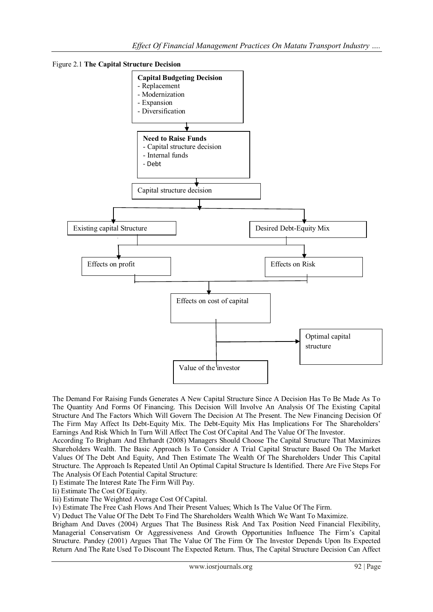



The Demand For Raising Funds Generates A New Capital Structure Since A Decision Has To Be Made As To The Quantity And Forms Of Financing. This Decision Will Involve An Analysis Of The Existing Capital Structure And The Factors Which Will Govern The Decision At The Present. The New Financing Decision Of The Firm May Affect Its Debt-Equity Mix. The Debt-Equity Mix Has Implications For The Shareholders' Earnings And Risk Which In Turn Will Affect The Cost Of Capital And The Value Of The Investor.

According To Brigham And Ehrhardt (2008) Managers Should Choose The Capital Structure That Maximizes Shareholders Wealth. The Basic Approach Is To Consider A Trial Capital Structure Based On The Market Values Of The Debt And Equity, And Then Estimate The Wealth Of The Shareholders Under This Capital Structure. The Approach Is Repeated Until An Optimal Capital Structure Is Identified. There Are Five Steps For The Analysis Of Each Potential Capital Structure:

I) Estimate The Interest Rate The Firm Will Pay.

Ii) Estimate The Cost Of Equity.

Iii) Estimate The Weighted Average Cost Of Capital.

Iv) Estimate The Free Cash Flows And Their Present Values; Which Is The Value Of The Firm.

V) Deduct The Value Of The Debt To Find The Shareholders Wealth Which We Want To Maximize.

Brigham And Daves (2004) Argues That The Business Risk And Tax Position Need Financial Flexibility, Managerial Conservatism Or Aggressiveness And Growth Opportunities Influence The Firm's Capital Structure. Pandey (2001) Argues That The Value Of The Firm Or The Investor Depends Upon Its Expected Return And The Rate Used To Discount The Expected Return. Thus, The Capital Structure Decision Can Affect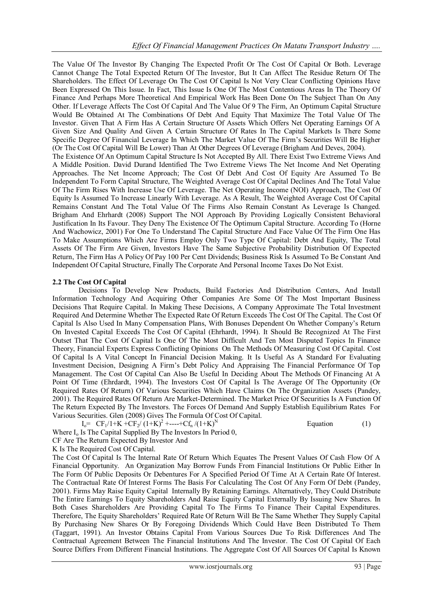The Value Of The Investor By Changing The Expected Profit Or The Cost Of Capital Or Both. Leverage Cannot Change The Total Expected Return Of The Investor, But It Can Affect The Residue Return Of The Shareholders. The Effect Of Leverage On The Cost Of Capital Is Not Very Clear Conflicting Opinions Have Been Expressed On This Issue. In Fact, This Issue Is One Of The Most Contentious Areas In The Theory Of Finance And Perhaps More Theoretical And Empirical Work Has Been Done On The Subject Than On Any Other. If Leverage Affects The Cost Of Capital And The Value Of 9 The Firm, An Optimum Capital Structure Would Be Obtained At The Combinations Of Debt And Equity That Maximize The Total Value Of The Investor. Given That A Firm Has A Certain Structure Of Assets Which Offers Net Operating Earnings Of A Given Size And Quality And Given A Certain Structure Of Rates In The Capital Markets Is There Some Specific Degree Of Financial Leverage In Which The Market Value Of The Firm's Securities Will Be Higher (Or The Cost Of Capital Will Be Lower) Than At Other Degrees Of Leverage (Brigham And Deves, 2004). The Existence Of An Optimum Capital Structure Is Not Accepted By All. There Exist Two Extreme Views And A Middle Position. David Durand Identified The Two Extreme Views The Net Income And Net Operating Approaches. The Net Income Approach; The Cost Of Debt And Cost Of Equity Are Assumed To Be Independent To Form Capital Structure, The Weighted Average Cost Of Capital Declines And The Total Value Of The Firm Rises With Increase Use Of Leverage. The Net Operating Income (NOI) Approach, The Cost Of Equity Is Assumed To Increase Linearly With Leverage. As A Result, The Weighted Average Cost Of Capital Remains Constant And The Total Value Of The Firms Also Remain Constant As Leverage Is Changed. Brigham And Ehrhardt (2008) Support The NOI Approach By Providing Logically Consistent Behavioral Justification In Its Favour. They Deny The Existence Of The Optimum Capital Structure. According To (Horne And Wachowicz, 2001) For One To Understand The Capital Structure And Face Value Of The Firm One Has To Make Assumptions Which Are Firms Employ Only Two Type Of Capital: Debt And Equity, The Total Assets Of The Firm Are Given, Investors Have The Same Subjective Probability Distribution Of Expected Return, The Firm Has A Policy Of Pay 100 Per Cent Dividends; Business Risk Is Assumed To Be Constant And Independent Of Capital Structure, Finally The Corporate And Personal Income Taxes Do Not Exist.

## **2.2 The Cost Of Capital**

Decisions To Develop New Products, Build Factories And Distribution Centers, And Install Information Technology And Acquiring Other Companies Are Some Of The Most Important Business Decisions That Require Capital. In Making These Decisions, A Company Approximate The Total Investment Required And Determine Whether The Expected Rate Of Return Exceeds The Cost Of The Capital. The Cost Of Capital Is Also Used In Many Compensation Plans, With Bonuses Dependent On Whether Company's Return On Invested Capital Exceeds The Cost Of Capital (Ehrhardt, 1994). It Should Be Recognized At The First Outset That The Cost Of Capital Is One Of The Most Difficult And Ten Most Disputed Topics In Finance Theory, Financial Experts Express Conflicting Opinions On The Methods Of Measuring Cost Of Capital. Cost Of Capital Is A Vital Concept In Financial Decision Making. It Is Useful As A Standard For Evaluating Investment Decision, Designing A Firm's Debt Policy And Appraising The Financial Performance Of Top Management. The Cost Of Capital Can Also Be Useful In Deciding About The Methods Of Financing At A Point Of Time (Ehrdardt, 1994). The Investors Cost Of Capital Is The Average Of The Opportunity (Or Required Rates Of Return) Of Various Securities Which Have Claims On The Organization Assets (Pandey, 2001). The Required Rates Of Return Are Market-Determined. The Market Price Of Securities Is A Function Of The Return Expected By The Investors. The Forces Of Demand And Supply Establish Equilibrium Rates For Various Securities. Glen (2008) Gives The Formula Of Cost Of Capital.

 $I_0$  =  $CF_1/1+K + CF_2/(1+K)^2$  +----+ $Cf_n/(1+K)^N$ 

Equation (1)

Where  $I_0$  Is The Capital Supplied By The Investors In Period 0,

CF Are The Return Expected By Investor And

K Is The Required Cost Of Capital.

The Cost Of Capital Is The Internal Rate Of Return Which Equates The Present Values Of Cash Flow Of A Financial Opportunity. An Organization May Borrow Funds From Financial Institutions Or Public Either In The Form Of Public Deposits Or Debentures For A Specified Period Of Time At A Certain Rate Of Interest. The Contractual Rate Of Interest Forms The Basis For Calculating The Cost Of Any Form Of Debt (Pandey, 2001). Firms May Raise Equity Capital Internally By Retaining Earnings. Alternatively, They Could Distribute The Entire Earnings To Equity Shareholders And Raise Equity Capital Externally By Issuing New Shares. In Both Cases Shareholders Are Providing Capital To The Firms To Finance Their Capital Expenditures. Therefore, The Equity Shareholders' Required Rate Of Return Will Be The Same Whether They Supply Capital By Purchasing New Shares Or By Foregoing Dividends Which Could Have Been Distributed To Them (Taggart, 1991). An Investor Obtains Capital From Various Sources Due To Risk Differences And The Contractual Agreement Between The Financial Institutions And The Investor. The Cost Of Capital Of Each Source Differs From Different Financial Institutions. The Aggregate Cost Of All Sources Of Capital Is Known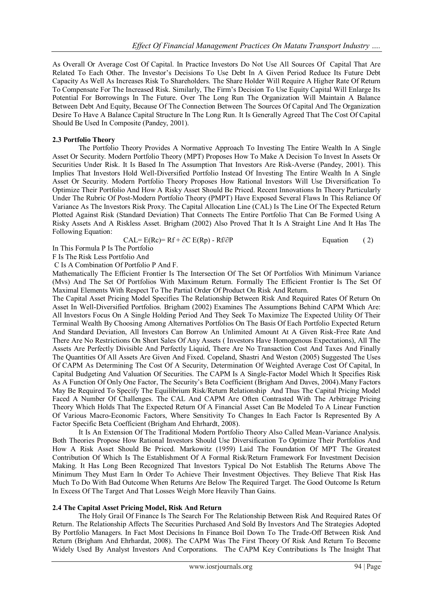As Overall Or Average Cost Of Capital. In Practice Investors Do Not Use All Sources Of Capital That Are Related To Each Other. The Investor's Decisions To Use Debt In A Given Period Reduce Its Future Debt Capacity As Well As Increases Risk To Shareholders. The Share Holder Will Require A Higher Rate Of Return To Compensate For The Increased Risk. Similarly, The Firm's Decision To Use Equity Capital Will Enlarge Its Potential For Borrowings In The Future. Over The Long Run The Organization Will Maintain A Balance Between Debt And Equity, Because Of The Connection Between The Sources Of Capital And The Organization Desire To Have A Balance Capital Structure In The Long Run. It Is Generally Agreed That The Cost Of Capital Should Be Used In Composite (Pandey, 2001).

## **2.3 Portfolio Theory**

The Portfolio Theory Provides A Normative Approach To Investing The Entire Wealth In A Single Asset Or Security. Modern Portfolio Theory (MPT) Proposes How To Make A Decision To Invest In Assets Or Securities Under Risk. It Is Based In The Assumption That Investors Are Risk-Averse (Pandey, 2001). This Implies That Investors Hold Well-Diversified Portfolio Instead Of Investing The Entire Wealth In A Single Asset Or Security. Modern Portfolio Theory Proposes How Rational Investors Will Use Diversification To Optimize Their Portfolio And How A Risky Asset Should Be Priced. Recent Innovations In Theory Particularly Under The Rubric Of Post-Modern Portfolio Theory (PMPT) Have Exposed Several Flaws In This Reliance Of Variance As The Investors Risk Proxy. The Capital Allocation Line (CAL) Is The Line Of The Expected Return Plotted Against Risk (Standard Deviation) That Connects The Entire Portfolio That Can Be Formed Using A Risky Assets And A Riskless Asset. Brigham (2002) Also Proved That It Is A Straight Line And It Has The Following Equation:

 $CAL= E(RC) = Rf + \partial C E(Rp) - Rf/\partial P$  Equation ( 2)

In This Formula P Is The Portfolio F Is The Risk Less Portfolio And

C Is A Combination Of Portfolio P And F.

Mathematically The Efficient Frontier Is The Intersection Of The Set Of Portfolios With Minimum Variance (Mvs) And The Set Of Portfolios With Maximum Return. Formally The Efficient Frontier Is The Set Of Maximal Elements With Respect To The Partial Order Of Product On Risk And Return.

The Capital Asset Pricing Model Specifies The Relationship Between Risk And Required Rates Of Return On Asset In Well-Diversified Portfolios. Brigham (2002) Examines The Assumptions Behind CAPM Which Are: All Investors Focus On A Single Holding Period And They Seek To Maximize The Expected Utility Of Their Terminal Wealth By Choosing Among Alternatives Portfolios On The Basis Of Each Portfolio Expected Return And Standard Deviation, All Investors Can Borrow An Unlimited Amount At A Given Risk-Free Rate And There Are No Restrictions On Short Sales Of Any Assets ( Investors Have Homogenous Expectations), All The Assets Are Perfectly Divisible And Perfectly Liquid, There Are No Transaction Cost And Taxes And Finally The Quantities Of All Assets Are Given And Fixed. Copeland, Shastri And Weston (2005) Suggested The Uses Of CAPM As Determining The Cost Of A Security, Determination Of Weighted Average Cost Of Capital, In Capital Budgeting And Valuation Of Securities. The CAPM Is A Single-Factor Model Which It Specifies Risk As A Function Of Only One Factor, The Security's Beta Coefficient (Brigham And Daves, 2004).Many Factors May Be Required To Specify The Equilibrium Risk/Return Relationship And Thus The Capital Pricing Model Faced A Number Of Challenges. The CAL And CAPM Are Often Contrasted With The Arbitrage Pricing Theory Which Holds That The Expected Return Of A Financial Asset Can Be Modeled To A Linear Function Of Various Macro-Economic Factors, Where Sensitivity To Changes In Each Factor Is Represented By A Factor Specific Beta Coefficient (Brigham And Ehrhardt, 2008).

It Is An Extension Of The Traditional Modern Portfolio Theory Also Called Mean-Variance Analysis. Both Theories Propose How Rational Investors Should Use Diversification To Optimize Their Portfolios And How A Risk Asset Should Be Priced. Markowitz (1959) Laid The Foundation Of MPT The Greatest Contribution Of Which Is The Establishment Of A Formal Risk/Return Framework For Investment Decision Making. It Has Long Been Recognized That Investors Typical Do Not Establish The Returns Above The Minimum They Must Earn In Order To Achieve Their Investment Objectives. They Believe That Risk Has Much To Do With Bad Outcome When Returns Are Below The Required Target. The Good Outcome Is Return In Excess Of The Target And That Losses Weigh More Heavily Than Gains.

#### **2.4 The Capital Asset Pricing Model, Risk And Return**

The Holy Grail Of Finance Is The Search For The Relationship Between Risk And Required Rates Of Return. The Relationship Affects The Securities Purchased And Sold By Investors And The Strategies Adopted By Portfolio Managers. In Fact Most Decisions In Finance Boil Down To The Trade-Off Between Risk And Return (Brigham And Ehrhardat, 2008). The CAPM Was The First Theory Of Risk And Return To Become Widely Used By Analyst Investors And Corporations. The CAPM Key Contributions Is The Insight That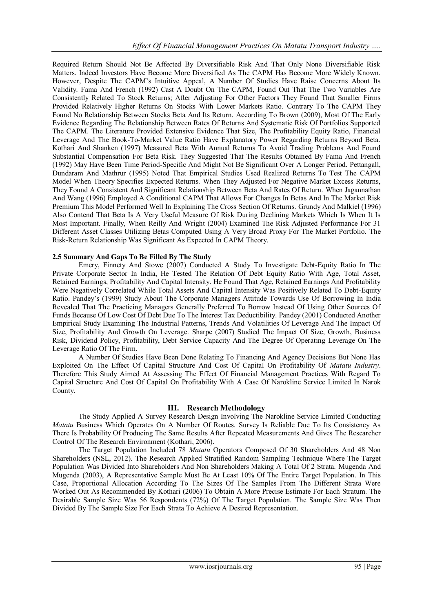Required Return Should Not Be Affected By Diversifiable Risk And That Only None Diversifiable Risk Matters. Indeed Investors Have Become More Diversified As The CAPM Has Become More Widely Known. However, Despite The CAPM's Intuitive Appeal, A Number Of Studies Have Raise Concerns About Its Validity. Fama And French (1992) Cast A Doubt On The CAPM, Found Out That The Two Variables Are Consistently Related To Stock Returns; After Adjusting For Other Factors They Found That Smaller Firms Provided Relatively Higher Returns On Stocks With Lower Markets Ratio. Contrary To The CAPM They Found No Relationship Between Stocks Beta And Its Return. According To Brown (2009), Most Of The Early Evidence Regarding The Relationship Between Rates Of Returns And Systematic Risk Of Portfolios Supported The CAPM. The Literature Provided Extensive Evidence That Size, The Profitability Equity Ratio, Financial Leverage And The Book-To-Market Value Ratio Have Explanatory Power Regarding Returns Beyond Beta. Kothari And Shanken (1997) Measured Beta With Annual Returns To Avoid Trading Problems And Found Substantial Compensation For Beta Risk. They Suggested That The Results Obtained By Fama And French (1992) May Have Been Time Period-Specific And Might Not Be Significant Over A Longer Period. Pettangall, Dundaram And Mathrur (1995) Noted That Empirical Studies Used Realized Returns To Test The CAPM Model When Theory Specifies Expected Returns. When They Adjusted For Negative Market Excess Returns, They Found A Consistent And Significant Relationship Between Beta And Rates Of Return. When Jagannathan And Wang (1996) Employed A Conditional CAPM That Allows For Changes In Betas And In The Market Risk Premium This Model Performed Well In Explaining The Cross Section Of Returns. Grundy And Malkiel (1996) Also Contend That Beta Is A Very Useful Measure Of Risk During Declining Markets Which Is When It Is Most Important. Finally, When Reilly And Wright (2004) Examined The Risk Adjusted Performance For 31 Different Asset Classes Utilizing Betas Computed Using A Very Broad Proxy For The Market Portfolio. The Risk-Return Relationship Was Significant As Expected In CAPM Theory.

## **2.5 Summary And Gaps To Be Filled By The Study**

Emery, Finnety And Stowe (2007) Conducted A Study To Investigate Debt-Equity Ratio In The Private Corporate Sector In India, He Tested The Relation Of Debt Equity Ratio With Age, Total Asset, Retained Earnings, Profitability And Capital Intensity. He Found That Age, Retained Earnings And Profitability Were Negatively Correlated While Total Assets And Capital Intensity Was Positively Related To Debt-Equity Ratio. Pandey's (1999) Study About The Corporate Managers Attitude Towards Use Of Borrowing In India Revealed That The Practicing Managers Generally Preferred To Borrow Instead Of Using Other Sources Of Funds Because Of Low Cost Of Debt Due To The Interest Tax Deductibility. Pandey (2001) Conducted Another Empirical Study Examining The Industrial Patterns, Trends And Volatilities Of Leverage And The Impact Of Size, Profitability And Growth On Leverage. Sharpe (2007) Studied The Impact Of Size, Growth, Business Risk, Dividend Policy, Profitability, Debt Service Capacity And The Degree Of Operating Leverage On The Leverage Ratio Of The Firm.

A Number Of Studies Have Been Done Relating To Financing And Agency Decisions But None Has Exploited On The Effect Of Capital Structure And Cost Of Capital On Profitability Of *Matatu Industry*. Therefore This Study Aimed At Assessing The Effect Of Financial Management Practices With Regard To Capital Structure And Cost Of Capital On Profitability With A Case Of Narokline Service Limited In Narok County.

## **III. Research Methodology**

The Study Applied A Survey Research Design Involving The Narokline Service Limited Conducting *Matatu* Business Which Operates On A Number Of Routes. Survey Is Reliable Due To Its Consistency As There Is Probability Of Producing The Same Results After Repeated Measurements And Gives The Researcher Control Of The Research Environment (Kothari, 2006).

The Target Population Included 78 *Matatu* Operators Composed Of 30 Shareholders And 48 Non Shareholders (NSL, 2012). The Research Applied Stratified Random Sampling Technique Where The Target Population Was Divided Into Shareholders And Non Shareholders Making A Total Of 2 Strata. Mugenda And Mugenda (2003), A Representative Sample Must Be At Least 10% Of The Entire Target Population. In This Case, Proportional Allocation According To The Sizes Of The Samples From The Different Strata Were Worked Out As Recommended By Kothari (2006) To Obtain A More Precise Estimate For Each Stratum. The Desirable Sample Size Was 56 Respondents (72%) Of The Target Population. The Sample Size Was Then Divided By The Sample Size For Each Strata To Achieve A Desired Representation.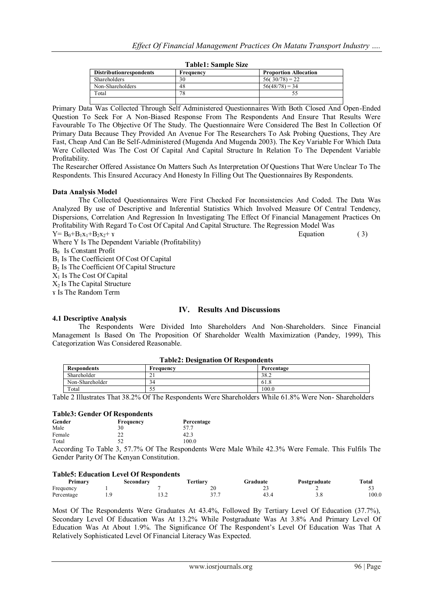| - - - - - - - - - - - - - - - - - - - - |           |                              |  |  |  |
|-----------------------------------------|-----------|------------------------------|--|--|--|
| <b>Distribution respondents</b>         | Frequency | <b>Proportion Allocation</b> |  |  |  |
| <b>Shareholders</b>                     | 30        | $56(30/78) = 22$             |  |  |  |
| Non-Shareholders                        | 48        | $56(48/78) = 34$             |  |  |  |
| Total                                   | 78        |                              |  |  |  |
|                                         |           |                              |  |  |  |

#### **Table1: Sample Size**

Primary Data Was Collected Through Self Administered Questionnaires With Both Closed And Open-Ended Question To Seek For A Non-Biased Response From The Respondents And Ensure That Results Were Favourable To The Objective Of The Study. The Questionnaire Were Considered The Best In Collection Of Primary Data Because They Provided An Avenue For The Researchers To Ask Probing Questions, They Are Fast, Cheap And Can Be Self-Administered (Mugenda And Mugenda 2003). The Key Variable For Which Data Were Collected Was The Cost Of Capital And Capital Structure In Relation To The Dependent Variable Profitability.

The Researcher Offered Assistance On Matters Such As Interpretation Of Questions That Were Unclear To The Respondents. This Ensured Accuracy And Honesty In Filling Out The Questionnaires By Respondents.

## **Data Analysis Model**

The Collected Questionnaires Were First Checked For Inconsistencies And Coded. The Data Was Analyzed By use of Descriptive and Inferential Statistics Which Involved Measure Of Central Tendency, Dispersions, Correlation And Regression In Investigating The Effect Of Financial Management Practices On Profitability With Regard To Cost Of Capital And Capital Structure. The Regression Model Was

 $Y = B_0 + B_1x_1 + B_2x_2 + r$  Equation (3)

Where Y Is The Dependent Variable (Profitability)

Β0 Is Constant Profit

Β<sup>1</sup> Is The Coefficient Of Cost Of Capital

Β<sup>2</sup> Is The Coefficient Of Capital Structure

 $X_1$  Is The Cost Of Capital

 $X<sub>2</sub>$  Is The Capital Structure

ɤ Is The Random Term

## **IV. Results And Discussions**

## **4.1 Descriptive Analysis**

The Respondents Were Divided Into Shareholders And Non-Shareholders. Since Financial Management Is Based On The Proposition Of Shareholder Wealth Maximization (Pandey, 1999), This Categorization Was Considered Reasonable.

| <b>Table2: Designation Of Respondents</b> |                                             |                             |  |  |  |  |  |
|-------------------------------------------|---------------------------------------------|-----------------------------|--|--|--|--|--|
| <b>Respondents</b>                        | Frequency                                   | Percentage                  |  |  |  |  |  |
| Shareholder                               |                                             | 38.2                        |  |  |  |  |  |
| Non-Shareholder                           |                                             | 61.8                        |  |  |  |  |  |
| Total                                     |                                             | 100.0                       |  |  |  |  |  |
|                                           | ---<br>.<br>---<br>$\overline{\phantom{a}}$ | ___ _<br>. .<br>---<br>$ -$ |  |  |  |  |  |

Table 2 Illustrates That 38.2% Of The Respondents Were Shareholders While 61.8% Were Non- Shareholders

#### **Table3: Gender Of Respondents**

| Gender | Frequency                                         | Percentage |
|--------|---------------------------------------------------|------------|
| Male   | 30                                                | 57.7       |
| Female | つつ                                                | 42.3       |
| Total  | 52                                                | 100.0      |
|        | $2.5750 \pm 0.05$<br>$T = 11$<br><b>CONTINUES</b> | <b>D</b>   |

According To Table 3, 57.7% Of The Respondents Were Male While 42.3% Were Female. This Fulfils The Gender Parity Of The Kenyan Constitution.

#### **Table5: Education Level Of Respondents**

| Primary    | Secondary | fertiary          | Graduate | Postgraduate | Total |
|------------|-----------|-------------------|----------|--------------|-------|
| Frequency  |           | 20                | --       |              |       |
| Percentage | ے ۔       | າ <i>ຕ</i> -<br>. | 43.4     |              | 100.0 |

Most Of The Respondents Were Graduates At 43.4%, Followed By Tertiary Level Of Education (37.7%), Secondary Level Of Education Was At 13.2% While Postgraduate Was At 3.8% And Primary Level Of Education Was At About 1.9%. The Significance Of The Respondent's Level Of Education Was That A Relatively Sophisticated Level Of Financial Literacy Was Expected.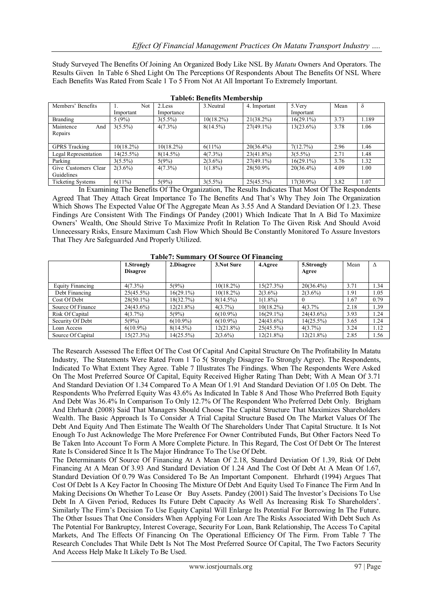Study Surveyed The Benefits Of Joining An Organized Body Like NSL By *Matatu* Owners And Operators. The Results Given In Table 6 Shed Light On The Perceptions Of Respondents About The Benefits Of NSL Where Each Benefits Was Rated From Scale 1 To 5 From Not At All Important To Extremely Important.

| Members' Benefits        | Not          | 2.Less       | 3. Neutral   | 4. Important | 5.Very       | Mean | $\delta$ |
|--------------------------|--------------|--------------|--------------|--------------|--------------|------|----------|
|                          | Important    | Importance   |              |              | Important    |      |          |
| <b>Branding</b>          | 5(9%)        | $3(5.5\%)$   | $10(18.2\%)$ | $21(38.2\%)$ | $16(29.1\%)$ | 3.73 | 1.189    |
| Maintence<br>And         | $3(5.5\%)$   | $4(7.3\%)$   | $8(14.5\%)$  | $27(49.1\%)$ | $13(23.6\%)$ | 3.78 | 1.06     |
| Repairs                  |              |              |              |              |              |      |          |
|                          |              |              |              |              |              |      |          |
| <b>GPRS</b> Tracking     | $10(18.2\%)$ | $10(18.2\%)$ | $6(11\%)$    | $20(36.4\%)$ | 7(12.7%)     | 2.96 | 1.46     |
| Legal Representation     | 14(25.5%)    | $8(14.5\%)$  | $4(7.3\%)$   | $23(41.8\%)$ | $3(5.5\%)$   | 2.71 | 1.48     |
| Parking                  | $3(5.5\%)$   | 5(9%)        | $2(3.6\%)$   | $27(49.1\%)$ | $16(29.1\%)$ | 3.76 | 1.32     |
| Give Customers Clear     | $2(3.6\%)$   | $4(7.3\%)$   | $1(1.8\%)$   | 28(50.9%)    | $20(36.4\%)$ | 4.09 | 1.00     |
| Guidelines               |              |              |              |              |              |      |          |
| <b>Ticketing Systems</b> | 6(11%)       | 5(9%)        | $3(5.5\%)$   | 25(45.5%)    | 17(30.9%)    | 3.82 | 1.07     |

In Examining The Benefits Of The Organization, The Results Indicates That Most Of The Respondents Agreed That They Attach Great Importance To The Benefits And That's Why They Join The Organization Which Shows The Expected Value Of The Aggregate Mean As 3.55 And A Standard Deviation Of 1.23. These Findings Are Consistent With The Findings Of Pandey (2001) Which Indicate That In A Bid To Maximize Owners' Wealth, One Should Strive To Maximize Profit In Relation To The Given Risk And Should Avoid Unnecessary Risks, Ensure Maximum Cash Flow Which Should Be Constantly Monitored To Assure Investors That They Are Safeguarded And Properly Utilized.

|                         |                 |              |              | $\overline{\phantom{a}}$ |              |      |      |
|-------------------------|-----------------|--------------|--------------|--------------------------|--------------|------|------|
|                         | 1.Strongly      | 2.Disagree   | 3. Not Sure  | 4.Agree                  | 5.Strongly   | Mean | Δ    |
|                         | <b>Disagree</b> |              |              |                          | Agree        |      |      |
| <b>Equity Financing</b> | $4(7.3\%)$      | 5(9%)        | $10(18.2\%)$ | 15(27.3%)                | $20(36.4\%)$ | 3.71 | 1.34 |
| Debt Financing          | 25(45.5%)       | $16(29.1\%)$ | $10(18.2\%)$ | $2(3.6\%)$               | $2(3.6\%)$   | 1.91 | 1.05 |
| Cost Of Debt            | $28(50.1\%)$    | 18(32.7%)    | $8(14.5\%)$  | $1(1.8\%)$               |              | 1.67 | 0.79 |
| Source Of Finance       | $24(43.6\%)$    | $12(21.8\%)$ | $4(3.7\%)$   | $10(18.2\%)$             | 4(3.7%       | 2.18 | 1.39 |
| Risk Of Capital         | $4(3.7\%)$      | 5(9%)        | $6(10.9\%)$  | $16(29.1\%)$             | $24(43.6\%)$ | 3.93 | 1.24 |
| Security Of Debt        | 5(9%)           | $6(10.9\%)$  | $6(10.9\%)$  | $24(43.6\%)$             | $14(25.5\%)$ | 3.65 | 1.24 |
| Loan Access             | $6(10.9\%)$     | $8(14.5\%)$  | $12(21.8\%)$ | 25(45.5%)                | $4(3.7\%)$   | 3.24 | 1.12 |
| Source Of Capital       | 15(27.3%)       | $14(25.5\%)$ | $2(3.6\%)$   | $12(21.8\%)$             | $12(21.8\%)$ | 2.85 | 1.56 |

**Table7: Summary Of Source Of Financing**

The Research Assessed The Effect Of The Cost Of Capital And Capital Structure On The Profitability In Matatu Industry, The Statements Were Rated From 1 To 5( Strongly Disagree To Strongly Agree). The Respondents, Indicated To What Extent They Agree. Table 7 Illustrates The Findings. When The Respondents Were Asked On The Most Preferred Source Of Capital, Equity Received Higher Rating Than Debt; With A Mean Of 3.71 And Standard Deviation Of 1.34 Compared To A Mean Of 1.91 And Standard Deviation Of 1.05 On Debt. The Respondents Who Preferred Equity Was 43.6% As Indicated In Table 8 And Those Who Preferred Both Equity And Debt Was 36.4% In Comparison To Only 12.7% Of The Respondent Who Preferred Debt Only. Brigham And Ehrhardt (2008) Said That Managers Should Choose The Capital Structure That Maximizes Shareholders Wealth. The Basic Approach Is To Consider A Trial Capital Structure Based On The Market Values Of The Debt And Equity And Then Estimate The Wealth Of The Shareholders Under That Capital Structure. It Is Not Enough To Just Acknowledge The More Preference For Owner Contributed Funds, But Other Factors Need To Be Taken Into Account To Form A More Complete Picture. In This Regard, The Cost Of Debt Or The Interest Rate Is Considered Since It Is The Major Hindrance To The Use Of Debt.

The Determinants Of Source Of Financing At A Mean Of 2.18, Standard Deviation Of 1.39, Risk Of Debt Financing At A Mean Of 3.93 And Standard Deviation Of 1.24 And The Cost Of Debt At A Mean Of 1.67, Standard Deviation Of 0.79 Was Considered To Be An Important Component. Ehrhardt (1994) Argues That Cost Of Debt Is A Key Factor In Choosing The Mixture Of Debt And Equity Used To Finance The Firm And In Making Decisions On Whether To Lease Or Buy Assets. Pandey (2001) Said The Investor's Decisions To Use Debt In A Given Period, Reduces Its Future Debt Capacity As Well As Increasing Risk To Shareholders'. Similarly The Firm's Decision To Use Equity Capital Will Enlarge Its Potential For Borrowing In The Future. The Other Issues That One Considers When Applying For Loan Are The Risks Associated With Debt Such As The Potential For Bankruptcy, Interest Coverage, Security For Loan, Bank Relationship, The Access To Capital Markets, And The Effects Of Financing On The Operational Efficiency Of The Firm. From Table 7 The Research Concludes That While Debt Is Not The Most Preferred Source Of Capital, The Two Factors Security And Access Help Make It Likely To Be Used.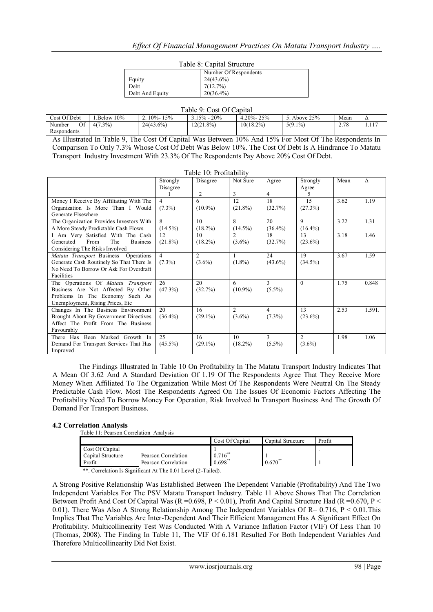٦

| Table 8: Capital Structure |                       |  |  |  |
|----------------------------|-----------------------|--|--|--|
|                            | Number Of Respondents |  |  |  |
|                            | $24(43.6\%)$          |  |  |  |

 $T$  11.  $\alpha$   $\alpha$   $\ldots$  1.  $\alpha$ 

| Equity          | relitiver of respondents<br>$24(43.6\%)$ |
|-----------------|------------------------------------------|
|                 |                                          |
| Debt            | $.7\%$                                   |
| Debt And Equity | $20(36.4\%)$                             |

| Table 9: Cost Of Capital    |            |               |                 |                 |             |      |                          |
|-----------------------------|------------|---------------|-----------------|-----------------|-------------|------|--------------------------|
| Cost Of Debt                | Below 10%  | $10\% - 15\%$ | $3.15\% - 20\%$ | $4.20\% - 25\%$ | . Above 25% | Mean | $\overline{\phantom{a}}$ |
| Of<br>Number<br>Respondents | $4(7.3\%)$ | $24(43.6\%)$  | $12(21.8\%)$    | $10(18.2\%)$    | $5(9.1\%)$  | 2.78 |                          |

As Illustrated In Table 9, The Cost Of Capital Was Between 10% And 15% For Most Of The Respondents In Comparison To Only 7.3% Whose Cost Of Debt Was Below 10%. The Cost Of Debt Is A Hindrance To Matatu Transport Industry Investment With 23.3% Of The Respondents Pay Above 20% Cost Of Debt.

Table 10: Profitability

|                                             |                | Table TV. Fromability |                |                |                |      |          |
|---------------------------------------------|----------------|-----------------------|----------------|----------------|----------------|------|----------|
|                                             | Strongly       | Disagree              | Not Sure       | Agree          | Strongly       | Mean | $\wedge$ |
|                                             | Disagree       |                       |                |                | Agree          |      |          |
|                                             |                | 2                     | 3              | 4              | 5              |      |          |
| Money I Receive By Affiliating With The     | $\overline{4}$ | 6                     | 12             | 18             | 15             | 3.62 | 1.19     |
| Organization Is More Than I Would           | $(7.3\%)$      | $(10.9\%)$            | $(21.8\%)$     | (32.7%)        | (27.3%)        |      |          |
| Generate Elsewhere                          |                |                       |                |                |                |      |          |
| The Organization Provides Investors With    | 8              | 10                    | 8              | 20             | 9              | 3.22 | 1.31     |
| A More Steady Predictable Cash Flows.       | $(14.5\%)$     | $(18.2\%)$            | $(14.5\%)$     | $(36.4\%)$     | $(16.4\%)$     |      |          |
| I Am Very Satisfied With The Cash           | 12             | 10                    | $\mathfrak{D}$ | 18             | 13             | 3.18 | 1.46     |
| Generated<br>From<br>The<br><b>Business</b> | $(21.8\%)$     | $(18.2\%)$            | $(3.6\%)$      | (32.7%)        | $(23.6\%)$     |      |          |
| Considering The Risks Involved              |                |                       |                |                |                |      |          |
| Matatu Transport Business Operations        | $\overline{4}$ | $\overline{c}$        | 1              | 24             | 19             | 3.67 | 1.59     |
| Generate Cash Routinely So That There Is    | $(7.3\%)$      | $(3.6\%)$             | $(1.8\%)$      | $(43.6\%)$     | $(34.5\%)$     |      |          |
| No Need To Borrow Or Ask For Overdraft      |                |                       |                |                |                |      |          |
| Facilities                                  |                |                       |                |                |                |      |          |
| The Operations Of Matatu Transport          | 26             | 20                    | 6              | $\mathcal{E}$  | $\theta$       | 1.75 | 0.848    |
| Business Are Not Affected By Other          | (47.3%)        | (32.7%)               | $(10.9\%)$     | $(5.5\%)$      |                |      |          |
| Problems In The Economy Such As             |                |                       |                |                |                |      |          |
| Unemployment, Rising Prices, Etc.           |                |                       |                |                |                |      |          |
| Changes In The Business Environment         | 20             | 16                    | $\overline{c}$ | $\overline{4}$ | 13             | 2.53 | 1.591.   |
| Brought About By Government Directives      | $(36.4\%)$     | $(29.1\%)$            | $(3.6\%)$      | $(7.3\%)$      | $(23.6\%)$     |      |          |
| Affect The Profit From The Business         |                |                       |                |                |                |      |          |
| Favourably                                  |                |                       |                |                |                |      |          |
| There Has Been Marked Growth In             | 25             | 16                    | 10             | 3              | $\overline{2}$ | 1.98 | 1.06     |
| Demand For Transport Services That Has      | $(45.5\%)$     | $(29.1\%)$            | $(18.2\%)$     | $(5.5\%)$      | $(3.6\%)$      |      |          |
| Improved                                    |                |                       |                |                |                |      |          |

The Findings Illustrated In Table 10 On Profitability In The Matatu Transport Industry Indicates That A Mean Of 3.62 And A Standard Deviation Of 1.19 Of The Respondents Agree That They Receive More Money When Affiliated To The Organization While Most Of The Respondents Were Neutral On The Steady Predictable Cash Flow. Most The Respondents Agreed On The Issues Of Economic Factors Affecting The Profitability Need To Borrow Money For Operation, Risk Involved In Transport Business And The Growth Of Demand For Transport Business.

## **4.2 Correlation Analysis**

|  | Table 11: Pearson Correlation Analysis |  |
|--|----------------------------------------|--|

 $\mathsf{r}$ 

|                                                |                                                              | Cost Of Capital              | Capital Structure | Profit |
|------------------------------------------------|--------------------------------------------------------------|------------------------------|-------------------|--------|
| Cost Of Capital<br>Capital Structure<br>Profit | Pearson Correlation<br>Pearson Correlation                   | $0.716^{**}$<br>$0.698^{**}$ | $0.670^{**}$      |        |
|                                                | **. Correlation Is Significant At The 0.01 Level (2-Tailed). |                              |                   |        |

A Strong Positive Relationship Was Established Between The Dependent Variable (Profitability) And The Two Independent Variables For The PSV Matatu Transport Industry. Table 11 Above Shows That The Correlation Between Profit And Cost Of Capital Was ( $R = 0.698$ ,  $P < 0.01$ ), Profit And Capital Structure Had ( $R = 0.670$ ,  $P <$ 0.01). There Was Also A Strong Relationship Among The Independent Variables Of R= 0.716, P < 0.01. This Implies That The Variables Are Inter-Dependent And Their Efficient Management Has A Significant Effect On Profitability. Multicollinearity Test Was Conducted With A Variance Inflation Factor (VIF) Of Less Than 10 (Thomas, 2008). The Finding In Table 11, The VIF Of 6.181 Resulted For Both Independent Variables And Therefore Multicollinearity Did Not Exist.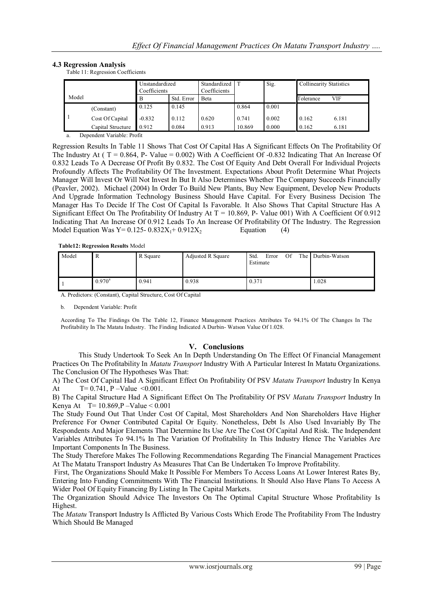## **4.3 Regression Analysis**

Table 11: Regression Coefficients

|       |                   | Unstandardized<br>Coefficients |            | Standardized  <br>Coefficients |        | Sig.  |           | <b>Collinearity Statistics</b> |  |
|-------|-------------------|--------------------------------|------------|--------------------------------|--------|-------|-----------|--------------------------------|--|
| Model |                   | В                              | Std. Error | Beta                           |        |       | Tolerance | VIF                            |  |
|       | (Constant)        | 0.125                          | 0.145      |                                | 0.864  | 0.001 |           |                                |  |
|       | Cost Of Capital   | $-0.832$                       | 0.112      | 0.620                          | 0.741  | 0.002 | 0.162     | 6.181                          |  |
|       | Capital Structure | 0.912                          | 0.084      | 0.913                          | 10.869 | 0.000 | 0.162     | 6.181                          |  |

a. Dependent Variable: Profit

Regression Results In Table 11 Shows That Cost Of Capital Has A Significant Effects On The Profitability Of The Industry At ( $T = 0.864$ , P- Value = 0.002) With A Coefficient Of -0.832 Indicating That An Increase Of 0.832 Leads To A Decrease Of Profit By 0.832. The Cost Of Equity And Debt Overall For Individual Projects Profoundly Affects The Profitability Of The Investment. Expectations About Profit Determine What Projects Manager Will Invest Or Will Not Invest In But It Also Determines Whether The Company Succeeds Financially (Peavler, 2002). Michael (2004) In Order To Build New Plants, Buy New Equipment, Develop New Products And Upgrade Information Technology Business Should Have Capital. For Every Business Decision The Manager Has To Decide If The Cost Of Capital Is Favorable. It Also Shows That Capital Structure Has A Significant Effect On The Profitability Of Industry At  $T = 10.869$ , P- Value 001) With A Coefficient Of 0.912 Indicating That An Increase Of 0.912 Leads To An Increase Of Profitability Of The Industry. The Regression Model Equation Was  $Y= 0.125 - 0.832X_1 + 0.912X_2$  Equation (4)

**Table12: Regression Results** Model

| Model | к               | R Square | Adjusted R Square | Std.<br>Of<br>Error<br>Estimate | The Durbin-Watson |
|-------|-----------------|----------|-------------------|---------------------------------|-------------------|
|       | $0.970^{\rm a}$ | 0.941    | 0.938             | 0.371                           | 1.028             |

A. Predictors: (Constant), Capital Structure, Cost Of Capital

b. Dependent Variable: Profit

According To The Findings On The Table 12, Finance Management Practices Attributes To 94.1% Of The Changes In The Profitability In The Matatu Industry. The Finding Indicated A Durbin- Watson Value Of 1.028.

## **V. Conclusions**

This Study Undertook To Seek An In Depth Understanding On The Effect Of Financial Management Practices On The Profitability In *Matatu Transport* Industry With A Particular Interest In Matatu Organizations. The Conclusion Of The Hypotheses Was That:

A) The Cost Of Capital Had A Significant Effect On Profitability Of PSV *Matatu Transport* Industry In Kenya At  $T= 0.741$ , P –Value <0.001.

B) The Capital Structure Had A Significant Effect On The Profitability Of PSV *Matatu Transport* Industry In Kenya At T=  $10.869$ , P – Value <  $0.001$ 

The Study Found Out That Under Cost Of Capital, Most Shareholders And Non Shareholders Have Higher Preference For Owner Contributed Capital Or Equity. Nonetheless, Debt Is Also Used Invariably By The Respondents And Major Elements That Determine Its Use Are The Cost Of Capital And Risk. The Independent Variables Attributes To 94.1% In The Variation Of Profitability In This Industry Hence The Variables Are Important Components In The Business.

The Study Therefore Makes The Following Recommendations Regarding The Financial Management Practices At The Matatu Transport Industry As Measures That Can Be Undertaken To Improve Profitability.

First, The Organizations Should Make It Possible For Members To Access Loans At Lower Interest Rates By, Entering Into Funding Commitments With The Financial Institutions. It Should Also Have Plans To Access A Wider Pool Of Equity Financing By Listing In The Capital Markets.

The Organization Should Advice The Investors On The Optimal Capital Structure Whose Profitability Is Highest.

The *Matatu* Transport Industry Is Afflicted By Various Costs Which Erode The Profitability From The Industry Which Should Be Managed